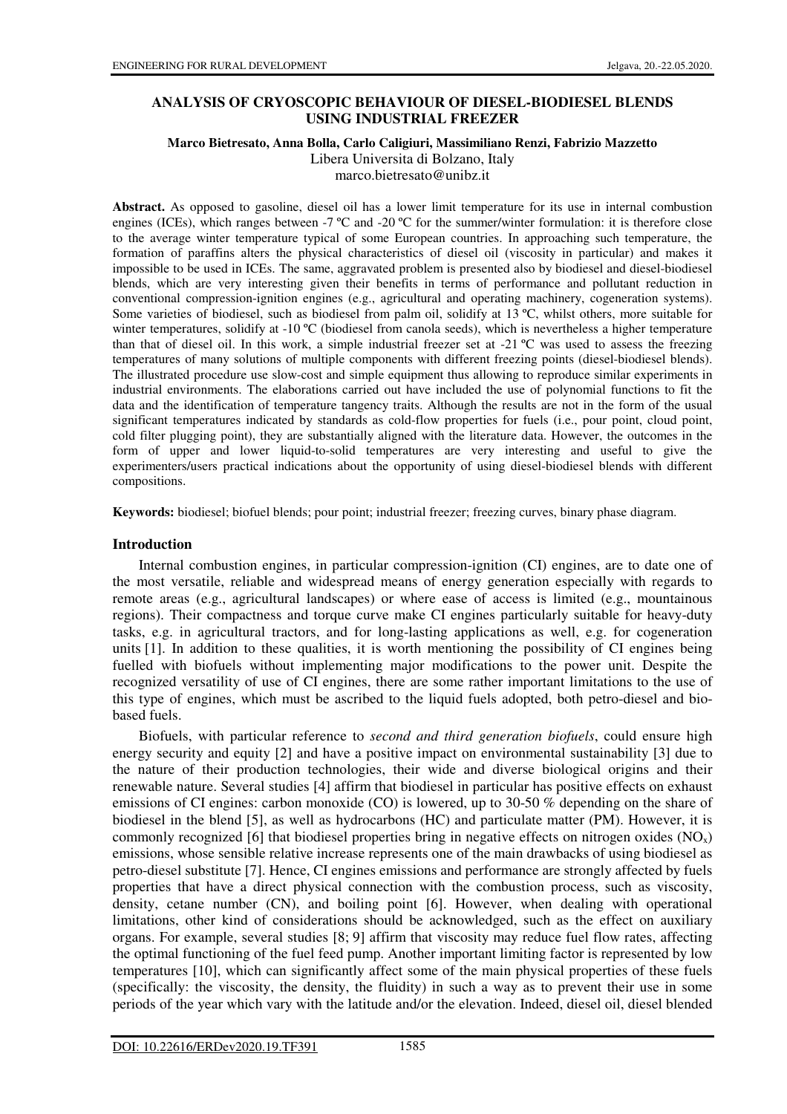# **ANALYSIS OF CRYOSCOPIC BEHAVIOUR OF DIESEL-BIODIESEL BLENDS USING INDUSTRIAL FREEZER**

#### **Marco Bietresato, Anna Bolla, Carlo Caligiuri, Massimiliano Renzi, Fabrizio Mazzetto**  Libera Universita di Bolzano, Italy

marco.bietresato@unibz.it

**Abstract.** As opposed to gasoline, diesel oil has a lower limit temperature for its use in internal combustion engines (ICEs), which ranges between -7 ºC and -20 ºC for the summer/winter formulation: it is therefore close to the average winter temperature typical of some European countries. In approaching such temperature, the formation of paraffins alters the physical characteristics of diesel oil (viscosity in particular) and makes it impossible to be used in ICEs. The same, aggravated problem is presented also by biodiesel and diesel-biodiesel blends, which are very interesting given their benefits in terms of performance and pollutant reduction in conventional compression-ignition engines (e.g., agricultural and operating machinery, cogeneration systems). Some varieties of biodiesel, such as biodiesel from palm oil, solidify at 13 °C, whilst others, more suitable for winter temperatures, solidify at -10 °C (biodiesel from canola seeds), which is nevertheless a higher temperature than that of diesel oil. In this work, a simple industrial freezer set at -21 ºC was used to assess the freezing temperatures of many solutions of multiple components with different freezing points (diesel-biodiesel blends). The illustrated procedure use slow-cost and simple equipment thus allowing to reproduce similar experiments in industrial environments. The elaborations carried out have included the use of polynomial functions to fit the data and the identification of temperature tangency traits. Although the results are not in the form of the usual significant temperatures indicated by standards as cold-flow properties for fuels (i.e., pour point, cloud point, cold filter plugging point), they are substantially aligned with the literature data. However, the outcomes in the form of upper and lower liquid-to-solid temperatures are very interesting and useful to give the experimenters/users practical indications about the opportunity of using diesel-biodiesel blends with different compositions.

**Keywords:** biodiesel; biofuel blends; pour point; industrial freezer; freezing curves, binary phase diagram.

# **Introduction**

Internal combustion engines, in particular compression-ignition (CI) engines, are to date one of the most versatile, reliable and widespread means of energy generation especially with regards to remote areas (e.g., agricultural landscapes) or where ease of access is limited (e.g., mountainous regions). Their compactness and torque curve make CI engines particularly suitable for heavy-duty tasks, e.g. in agricultural tractors, and for long-lasting applications as well, e.g. for cogeneration units [1]. In addition to these qualities, it is worth mentioning the possibility of CI engines being fuelled with biofuels without implementing major modifications to the power unit. Despite the recognized versatility of use of CI engines, there are some rather important limitations to the use of this type of engines, which must be ascribed to the liquid fuels adopted, both petro-diesel and biobased fuels.

Biofuels, with particular reference to *second and third generation biofuels*, could ensure high energy security and equity [2] and have a positive impact on environmental sustainability [3] due to the nature of their production technologies, their wide and diverse biological origins and their renewable nature. Several studies [4] affirm that biodiesel in particular has positive effects on exhaust emissions of CI engines: carbon monoxide (CO) is lowered, up to 30-50 % depending on the share of biodiesel in the blend [5], as well as hydrocarbons (HC) and particulate matter (PM). However, it is commonly recognized [6] that biodiesel properties bring in negative effects on nitrogen oxides  $(NO_x)$ emissions, whose sensible relative increase represents one of the main drawbacks of using biodiesel as petro-diesel substitute [7]. Hence, CI engines emissions and performance are strongly affected by fuels properties that have a direct physical connection with the combustion process, such as viscosity, density, cetane number (CN), and boiling point [6]. However, when dealing with operational limitations, other kind of considerations should be acknowledged, such as the effect on auxiliary organs. For example, several studies [8; 9] affirm that viscosity may reduce fuel flow rates, affecting the optimal functioning of the fuel feed pump. Another important limiting factor is represented by low temperatures [10], which can significantly affect some of the main physical properties of these fuels (specifically: the viscosity, the density, the fluidity) in such a way as to prevent their use in some periods of the year which vary with the latitude and/or the elevation. Indeed, diesel oil, diesel blended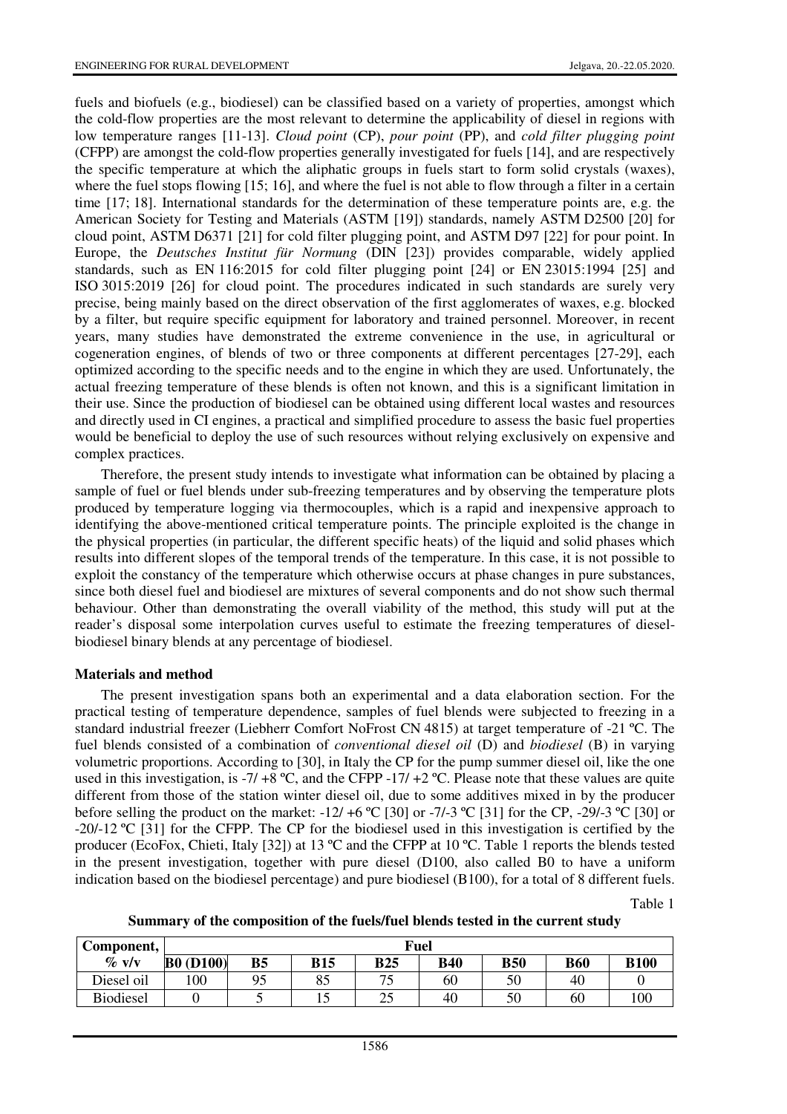fuels and biofuels (e.g., biodiesel) can be classified based on a variety of properties, amongst which the cold-flow properties are the most relevant to determine the applicability of diesel in regions with low temperature ranges [11-13]. *Cloud point* (CP), *pour point* (PP), and *cold filter plugging point* (CFPP) are amongst the cold-flow properties generally investigated for fuels [14], and are respectively the specific temperature at which the aliphatic groups in fuels start to form solid crystals (waxes), where the fuel stops flowing [15; 16], and where the fuel is not able to flow through a filter in a certain time [17; 18]. International standards for the determination of these temperature points are, e.g. the American Society for Testing and Materials (ASTM [19]) standards, namely ASTM D2500 [20] for cloud point, ASTM D6371 [21] for cold filter plugging point, and ASTM D97 [22] for pour point. In Europe, the *Deutsches Institut für Normung* (DIN [23]) provides comparable, widely applied standards, such as EN 116:2015 for cold filter plugging point [24] or EN 23015:1994 [25] and ISO 3015:2019 [26] for cloud point. The procedures indicated in such standards are surely very precise, being mainly based on the direct observation of the first agglomerates of waxes, e.g. blocked by a filter, but require specific equipment for laboratory and trained personnel. Moreover, in recent years, many studies have demonstrated the extreme convenience in the use, in agricultural or cogeneration engines, of blends of two or three components at different percentages [27-29], each optimized according to the specific needs and to the engine in which they are used. Unfortunately, the actual freezing temperature of these blends is often not known, and this is a significant limitation in their use. Since the production of biodiesel can be obtained using different local wastes and resources and directly used in CI engines, a practical and simplified procedure to assess the basic fuel properties would be beneficial to deploy the use of such resources without relying exclusively on expensive and complex practices.

Therefore, the present study intends to investigate what information can be obtained by placing a sample of fuel or fuel blends under sub-freezing temperatures and by observing the temperature plots produced by temperature logging via thermocouples, which is a rapid and inexpensive approach to identifying the above-mentioned critical temperature points. The principle exploited is the change in the physical properties (in particular, the different specific heats) of the liquid and solid phases which results into different slopes of the temporal trends of the temperature. In this case, it is not possible to exploit the constancy of the temperature which otherwise occurs at phase changes in pure substances, since both diesel fuel and biodiesel are mixtures of several components and do not show such thermal behaviour. Other than demonstrating the overall viability of the method, this study will put at the reader's disposal some interpolation curves useful to estimate the freezing temperatures of dieselbiodiesel binary blends at any percentage of biodiesel.

### **Materials and method**

The present investigation spans both an experimental and a data elaboration section. For the practical testing of temperature dependence, samples of fuel blends were subjected to freezing in a standard industrial freezer (Liebherr Comfort NoFrost CN 4815) at target temperature of -21 ºC. The fuel blends consisted of a combination of *conventional diesel oil* (D) and *biodiesel* (B) in varying volumetric proportions. According to [30], in Italy the CP for the pump summer diesel oil, like the one used in this investigation, is -7/ +8 °C, and the CFPP -17/ +2 °C. Please note that these values are quite different from those of the station winter diesel oil, due to some additives mixed in by the producer before selling the product on the market:  $-12/ +6$  °C [30] or  $-7/-3$  °C [31] for the CP,  $-29/-3$  °C [30] or -20/-12 ºC [31] for the CFPP. The CP for the biodiesel used in this investigation is certified by the producer (EcoFox, Chieti, Italy [32]) at 13 ºC and the CFPP at 10 ºC. Table 1 reports the blends tested in the present investigation, together with pure diesel (D100, also called B0 to have a uniform indication based on the biodiesel percentage) and pure biodiesel (B100), for a total of 8 different fuels.

Table 1

|  | Summary of the composition of the fuels/fuel blends tested in the current study |  |  |  |  |
|--|---------------------------------------------------------------------------------|--|--|--|--|
|  |                                                                                 |  |  |  |  |

| Component,       | Fuel             |           |            |                               |            |            |            |             |  |  |
|------------------|------------------|-----------|------------|-------------------------------|------------|------------|------------|-------------|--|--|
| $\%$ v/v         | <b>B0</b> (D100) | <b>B5</b> | <b>B15</b> | <b>B25</b>                    | <b>B40</b> | <b>B50</b> | <b>B60</b> | <b>B100</b> |  |  |
| Diesel oil       | 100              | 95        | 85         | $\overline{\phantom{a}}$<br>ت | 60         | 50         | 40         |             |  |  |
| <b>Biodiesel</b> |                  |           | ⊥ آ        | ت                             | 40         | 50         | 60         | 100         |  |  |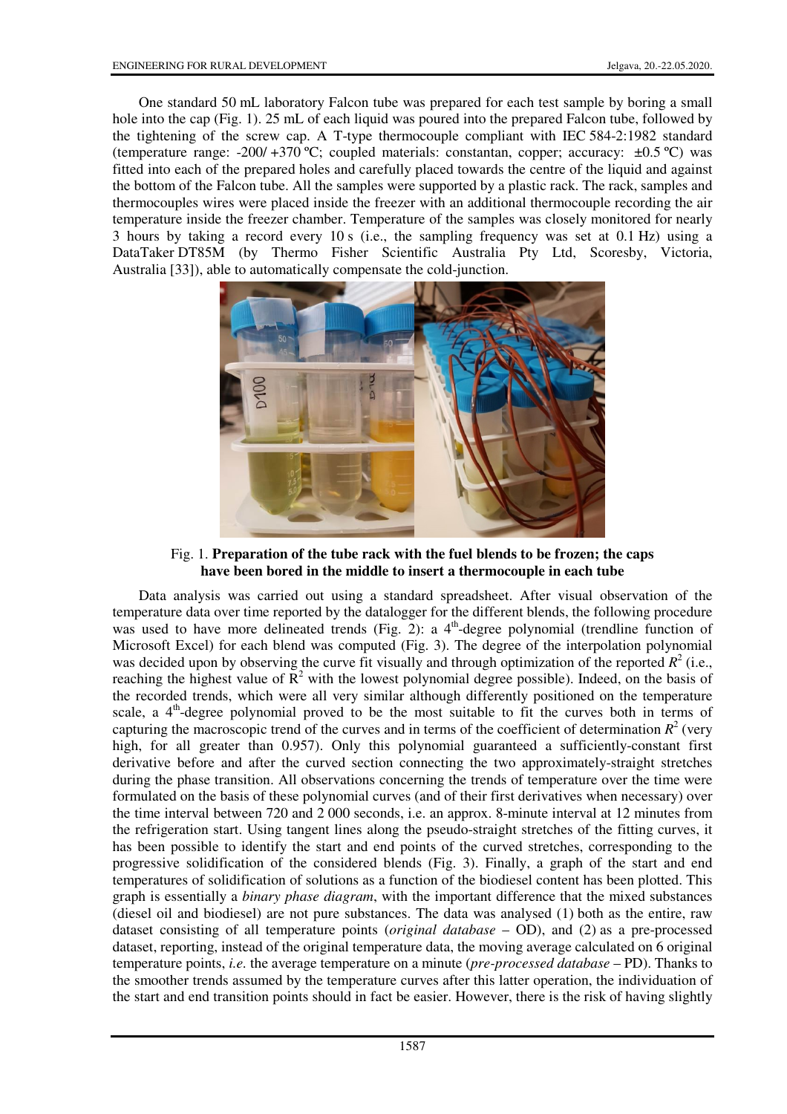One standard 50 mL laboratory Falcon tube was prepared for each test sample by boring a small hole into the cap (Fig. 1). 25 mL of each liquid was poured into the prepared Falcon tube, followed by the tightening of the screw cap. A T-type thermocouple compliant with IEC 584-2:1982 standard (temperature range: -200/ +370 °C; coupled materials: constantan, copper; accuracy:  $\pm 0.5$  °C) was fitted into each of the prepared holes and carefully placed towards the centre of the liquid and against the bottom of the Falcon tube. All the samples were supported by a plastic rack. The rack, samples and thermocouples wires were placed inside the freezer with an additional thermocouple recording the air temperature inside the freezer chamber. Temperature of the samples was closely monitored for nearly 3 hours by taking a record every 10 s (i.e., the sampling frequency was set at 0.1 Hz) using a DataTaker DT85M (by Thermo Fisher Scientific Australia Pty Ltd, Scoresby, Victoria, Australia [33]), able to automatically compensate the cold-junction.



Fig. 1. **Preparation of the tube rack with the fuel blends to be frozen; the caps have been bored in the middle to insert a thermocouple in each tube** 

Data analysis was carried out using a standard spreadsheet. After visual observation of the temperature data over time reported by the datalogger for the different blends, the following procedure was used to have more delineated trends (Fig. 2): a  $4<sup>th</sup>$ -degree polynomial (trendline function of Microsoft Excel) for each blend was computed (Fig. 3). The degree of the interpolation polynomial was decided upon by observing the curve fit visually and through optimization of the reported  $R^2$  (i.e., reaching the highest value of  $\mathbb{R}^2$  with the lowest polynomial degree possible). Indeed, on the basis of the recorded trends, which were all very similar although differently positioned on the temperature scale, a  $4<sup>th</sup>$ -degree polynomial proved to be the most suitable to fit the curves both in terms of capturing the macroscopic trend of the curves and in terms of the coefficient of determination  $R^2$  (very high, for all greater than 0.957). Only this polynomial guaranteed a sufficiently-constant first derivative before and after the curved section connecting the two approximately-straight stretches during the phase transition. All observations concerning the trends of temperature over the time were formulated on the basis of these polynomial curves (and of their first derivatives when necessary) over the time interval between 720 and 2 000 seconds, i.e. an approx. 8-minute interval at 12 minutes from the refrigeration start. Using tangent lines along the pseudo-straight stretches of the fitting curves, it has been possible to identify the start and end points of the curved stretches, corresponding to the progressive solidification of the considered blends (Fig. 3). Finally, a graph of the start and end temperatures of solidification of solutions as a function of the biodiesel content has been plotted. This graph is essentially a *binary phase diagram*, with the important difference that the mixed substances (diesel oil and biodiesel) are not pure substances. The data was analysed (1) both as the entire, raw dataset consisting of all temperature points (*original database* – OD), and (2) as a pre-processed dataset, reporting, instead of the original temperature data, the moving average calculated on 6 original temperature points, *i.e.* the average temperature on a minute (*pre-processed database* – PD). Thanks to the smoother trends assumed by the temperature curves after this latter operation, the individuation of the start and end transition points should in fact be easier. However, there is the risk of having slightly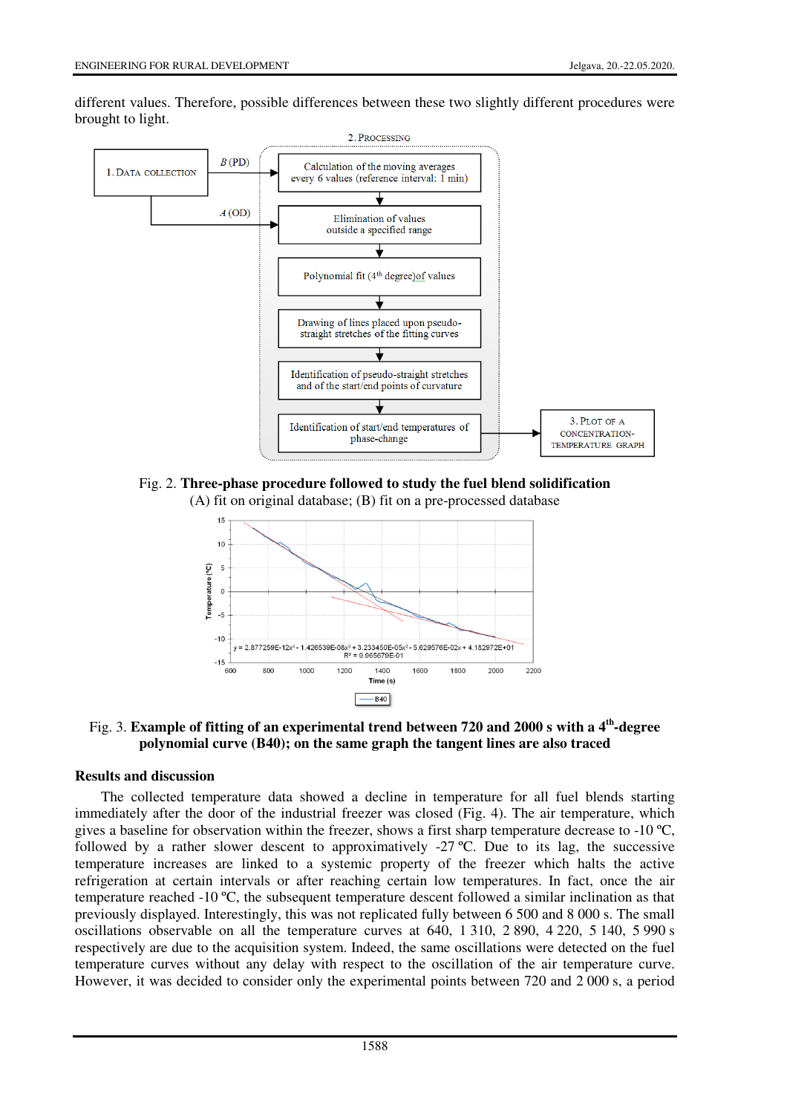different values. Therefore, possible differences between these two slightly different procedures were brought to light.



Fig. 2. **Three-phase procedure followed to study the fuel blend solidification**  (A) fit on original database; (B) fit on a pre-processed database



Fig. 3. **Example of fitting of an experimental trend between 720 and 2000 s with a 4th-degree polynomial curve (B40); on the same graph the tangent lines are also traced**

### **Results and discussion**

The collected temperature data showed a decline in temperature for all fuel blends starting immediately after the door of the industrial freezer was closed (Fig. 4). The air temperature, which gives a baseline for observation within the freezer, shows a first sharp temperature decrease to -10  $^{\circ}C$ , followed by a rather slower descent to approximatively -27 ºC. Due to its lag, the successive temperature increases are linked to a systemic property of the freezer which halts the active refrigeration at certain intervals or after reaching certain low temperatures. In fact, once the air temperature reached -10 ºC, the subsequent temperature descent followed a similar inclination as that previously displayed. Interestingly, this was not replicated fully between 6 500 and 8 000 s. The small oscillations observable on all the temperature curves at 640, 1 310, 2 890, 4 220, 5 140, 5 990 s respectively are due to the acquisition system. Indeed, the same oscillations were detected on the fuel temperature curves without any delay with respect to the oscillation of the air temperature curve. However, it was decided to consider only the experimental points between 720 and 2 000 s, a period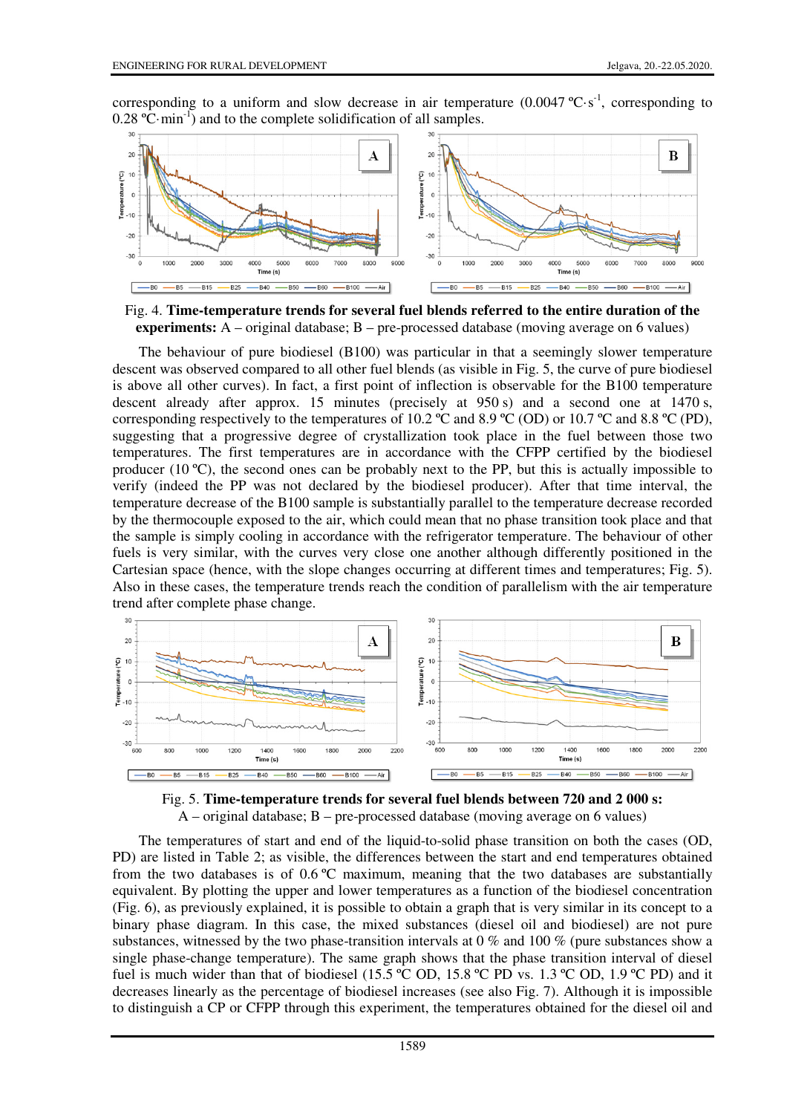corresponding to a uniform and slow decrease in air temperature  $(0.0047 \, \text{°C·s}^{-1})$ , corresponding to  $0.28 \text{ °C·min}^{-1}$ ) and to the complete solidification of all samples.



Fig. 4. **Time-temperature trends for several fuel blends referred to the entire duration of the experiments:** A – original database; B – pre-processed database (moving average on 6 values)

The behaviour of pure biodiesel (B100) was particular in that a seemingly slower temperature descent was observed compared to all other fuel blends (as visible in Fig. 5, the curve of pure biodiesel is above all other curves). In fact, a first point of inflection is observable for the B100 temperature descent already after approx. 15 minutes (precisely at 950 s) and a second one at 1470 s, corresponding respectively to the temperatures of 10.2 °C and 8.9 °C (OD) or 10.7 °C and 8.8 °C (PD), suggesting that a progressive degree of crystallization took place in the fuel between those two temperatures. The first temperatures are in accordance with the CFPP certified by the biodiesel producer (10 ºC), the second ones can be probably next to the PP, but this is actually impossible to verify (indeed the PP was not declared by the biodiesel producer). After that time interval, the temperature decrease of the B100 sample is substantially parallel to the temperature decrease recorded by the thermocouple exposed to the air, which could mean that no phase transition took place and that the sample is simply cooling in accordance with the refrigerator temperature. The behaviour of other fuels is very similar, with the curves very close one another although differently positioned in the Cartesian space (hence, with the slope changes occurring at different times and temperatures; Fig. 5). Also in these cases, the temperature trends reach the condition of parallelism with the air temperature trend after complete phase change.



Fig. 5. **Time-temperature trends for several fuel blends between 720 and 2 000 s:**   $A$  – original database;  $B$  – pre-processed database (moving average on 6 values)

The temperatures of start and end of the liquid-to-solid phase transition on both the cases (OD, PD) are listed in Table 2; as visible, the differences between the start and end temperatures obtained from the two databases is of  $0.6 \degree C$  maximum, meaning that the two databases are substantially equivalent. By plotting the upper and lower temperatures as a function of the biodiesel concentration (Fig. 6), as previously explained, it is possible to obtain a graph that is very similar in its concept to a binary phase diagram. In this case, the mixed substances (diesel oil and biodiesel) are not pure substances, witnessed by the two phase-transition intervals at 0 % and 100 % (pure substances show a single phase-change temperature). The same graph shows that the phase transition interval of diesel fuel is much wider than that of biodiesel (15.5 °C OD, 15.8 °C PD vs. 1.3 °C OD, 1.9 °C PD) and it decreases linearly as the percentage of biodiesel increases (see also Fig. 7). Although it is impossible to distinguish a CP or CFPP through this experiment, the temperatures obtained for the diesel oil and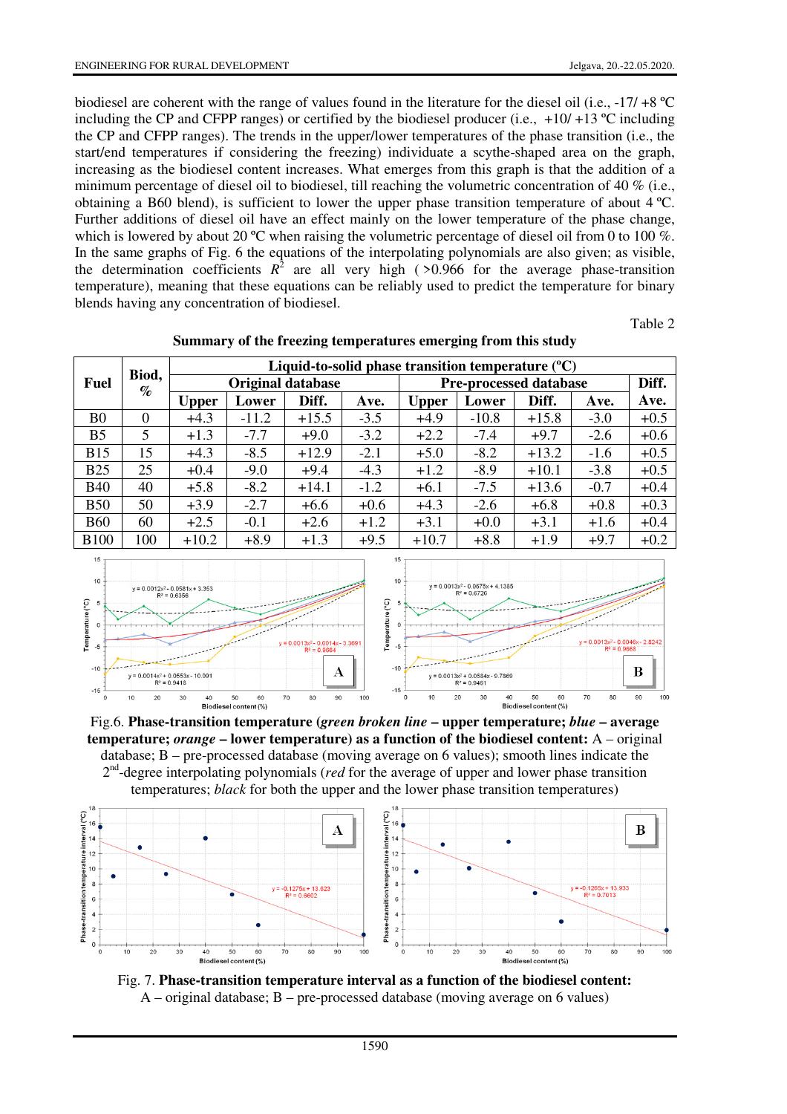biodiesel are coherent with the range of values found in the literature for the diesel oil (i.e., -17/ +8 ºC including the CP and CFPP ranges) or certified by the biodiesel producer (i.e.,  $+10/+13$  °C including the CP and CFPP ranges). The trends in the upper/lower temperatures of the phase transition (i.e., the start/end temperatures if considering the freezing) individuate a scythe-shaped area on the graph, increasing as the biodiesel content increases. What emerges from this graph is that the addition of a minimum percentage of diesel oil to biodiesel, till reaching the volumetric concentration of 40 % (i.e., obtaining a B60 blend), is sufficient to lower the upper phase transition temperature of about 4 ºC. Further additions of diesel oil have an effect mainly on the lower temperature of the phase change, which is lowered by about 20 °C when raising the volumetric percentage of diesel oil from 0 to 100 %. In the same graphs of Fig. 6 the equations of the interpolating polynomials are also given; as visible, the determination coefficients  $R^2$  are all very high ( $>0.966$  for the average phase-transition temperature), meaning that these equations can be reliably used to predict the temperature for binary blends having any concentration of biodiesel.

Table 2

|                                   | Biod,    | Liquid-to-solid phase transition temperature $(C)$ |                          |         |        |                               |         |         |        |        |  |
|-----------------------------------|----------|----------------------------------------------------|--------------------------|---------|--------|-------------------------------|---------|---------|--------|--------|--|
| <b>Fuel</b>                       | $\%$     |                                                    | <b>Original database</b> |         |        | <b>Pre-processed database</b> | Diff.   |         |        |        |  |
|                                   |          | <b>Upper</b>                                       | Lower                    | Diff.   | Ave.   | <b>Upper</b>                  | Lower   | Diff.   | Ave.   | Ave.   |  |
| B <sub>0</sub>                    | $\Omega$ | $+4.3$                                             | $-11.2$                  | $+15.5$ | $-3.5$ | $+4.9$                        | $-10.8$ | $+15.8$ | $-3.0$ | $+0.5$ |  |
| B <sub>5</sub>                    | 5        | $+1.3$                                             | $-7.7$                   | $+9.0$  | $-3.2$ | $+2.2$                        | $-7.4$  | $+9.7$  | $-2.6$ | $+0.6$ |  |
| <b>B15</b>                        | 15       | $+4.3$                                             | $-8.5$                   | $+12.9$ | $-2.1$ | $+5.0$                        | $-8.2$  | $+13.2$ | $-1.6$ | $+0.5$ |  |
| <b>B25</b>                        | 25       | $+0.4$                                             | $-9.0$                   | $+9.4$  | $-4.3$ | $+1.2$                        | $-8.9$  | $+10.1$ | $-3.8$ | $+0.5$ |  |
| <b>B40</b>                        | 40       | $+5.8$                                             | $-8.2$                   | $+14.1$ | $-1.2$ | $+6.1$                        | $-7.5$  | $+13.6$ | $-0.7$ | $+0.4$ |  |
| <b>B50</b>                        | 50       | $+3.9$                                             | $-2.7$                   | $+6.6$  | $+0.6$ | $+4.3$                        | $-2.6$  | $+6.8$  | $+0.8$ | $+0.3$ |  |
| <b>B60</b>                        | 60       | $+2.5$                                             | $-0.1$                   | $+2.6$  | $+1.2$ | $+3.1$                        | $+0.0$  | $+3.1$  | $+1.6$ | $+0.4$ |  |
| <b>B100</b>                       | 100      | $+10.2$                                            | $+8.9$                   | $+1.3$  | $+9.5$ | $+10.7$                       | $+8.8$  | $+1.9$  | $+9.7$ | $+0.2$ |  |
| 15<br>15<br>10<br>10 <sup>1</sup> |          |                                                    |                          |         |        |                               |         |         |        |        |  |

**Summary of the freezing temperatures emerging from this study** 



Fig.6. **Phase-transition temperature (***green broken line* **– upper temperature;** *blue* **– average temperature;** *orange* **– lower temperature) as a function of the biodiesel content:** A – original database; B – pre-processed database (moving average on 6 values); smooth lines indicate the 2<sup>nd</sup>-degree interpolating polynomials (*red* for the average of upper and lower phase transition temperatures; *black* for both the upper and the lower phase transition temperatures)



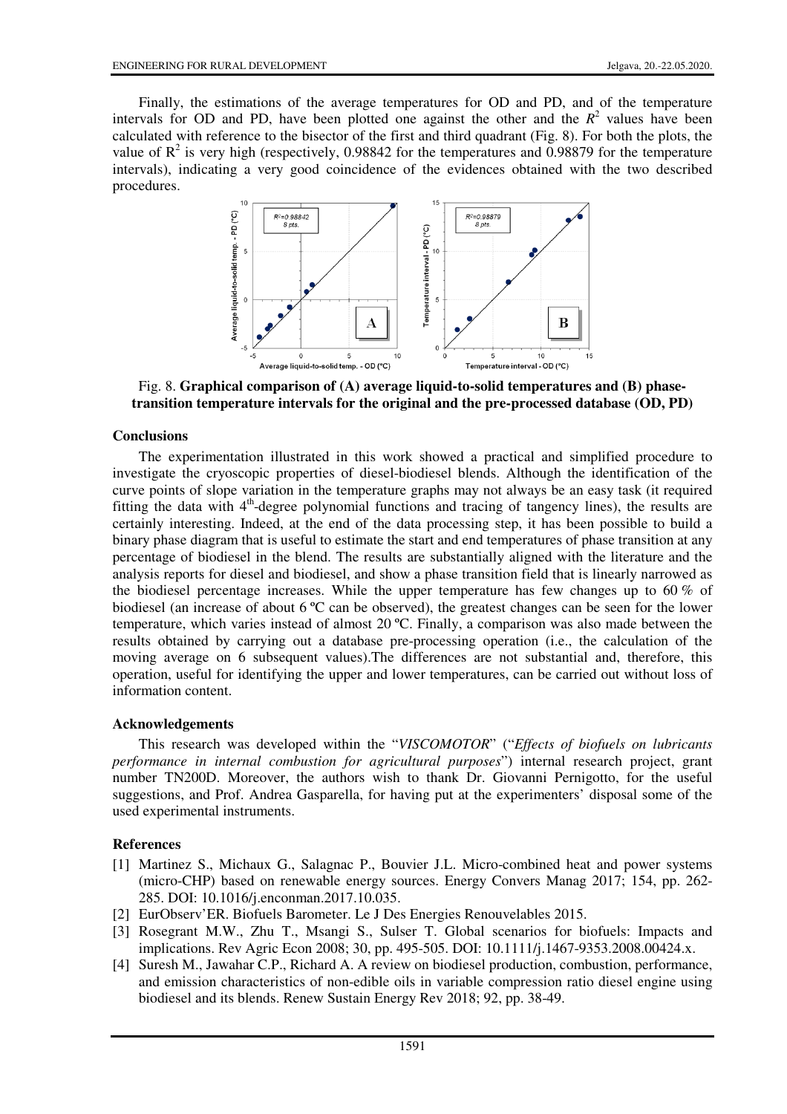Finally, the estimations of the average temperatures for OD and PD, and of the temperature intervals for OD and PD, have been plotted one against the other and the  $R<sup>2</sup>$  values have been calculated with reference to the bisector of the first and third quadrant (Fig. 8). For both the plots, the value of  $\mathbb{R}^2$  is very high (respectively, 0.98842 for the temperatures and 0.98879 for the temperature intervals), indicating a very good coincidence of the evidences obtained with the two described procedures.



Fig. 8. **Graphical comparison of (A) average liquid-to-solid temperatures and (B) phasetransition temperature intervals for the original and the pre-processed database (OD, PD)**

### **Conclusions**

The experimentation illustrated in this work showed a practical and simplified procedure to investigate the cryoscopic properties of diesel-biodiesel blends. Although the identification of the curve points of slope variation in the temperature graphs may not always be an easy task (it required fitting the data with  $4<sup>th</sup>$ -degree polynomial functions and tracing of tangency lines), the results are certainly interesting. Indeed, at the end of the data processing step, it has been possible to build a binary phase diagram that is useful to estimate the start and end temperatures of phase transition at any percentage of biodiesel in the blend. The results are substantially aligned with the literature and the analysis reports for diesel and biodiesel, and show a phase transition field that is linearly narrowed as the biodiesel percentage increases. While the upper temperature has few changes up to  $60\%$  of biodiesel (an increase of about 6 ºC can be observed), the greatest changes can be seen for the lower temperature, which varies instead of almost 20 ºC. Finally, a comparison was also made between the results obtained by carrying out a database pre-processing operation (i.e., the calculation of the moving average on 6 subsequent values).The differences are not substantial and, therefore, this operation, useful for identifying the upper and lower temperatures, can be carried out without loss of information content.

### **Acknowledgements**

This research was developed within the "*VISCOMOTOR*" ("*Effects of biofuels on lubricants performance in internal combustion for agricultural purposes*") internal research project, grant number TN200D. Moreover, the authors wish to thank Dr. Giovanni Pernigotto, for the useful suggestions, and Prof. Andrea Gasparella, for having put at the experimenters' disposal some of the used experimental instruments.

### **References**

- [1] Martinez S., Michaux G., Salagnac P., Bouvier J.L. Micro-combined heat and power systems (micro-CHP) based on renewable energy sources. Energy Convers Manag 2017; 154, pp. 262- 285. DOI: 10.1016/j.enconman.2017.10.035.
- [2] EurObserv'ER. Biofuels Barometer. Le J Des Energies Renouvelables 2015.
- [3] Rosegrant M.W., Zhu T., Msangi S., Sulser T. Global scenarios for biofuels: Impacts and implications. Rev Agric Econ 2008; 30, pp. 495-505. DOI: 10.1111/j.1467-9353.2008.00424.x.
- [4] Suresh M., Jawahar C.P., Richard A. A review on biodiesel production, combustion, performance, and emission characteristics of non-edible oils in variable compression ratio diesel engine using biodiesel and its blends. Renew Sustain Energy Rev 2018; 92, pp. 38-49.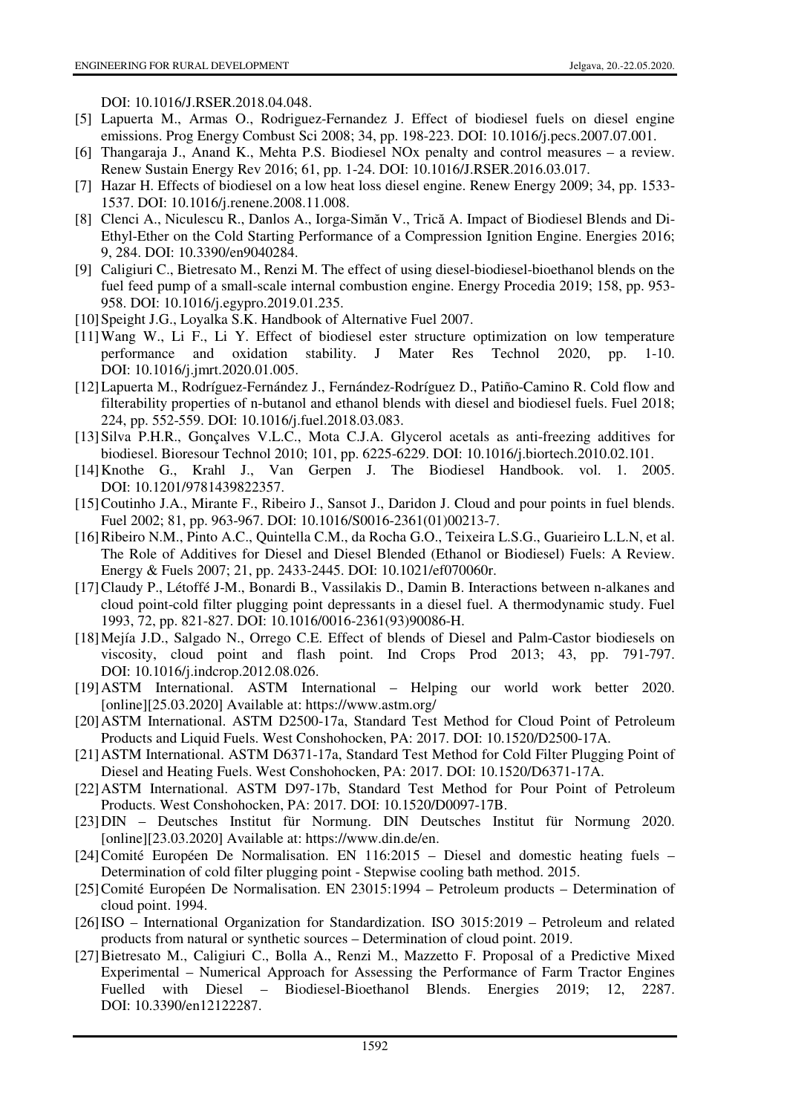DOI: 10.1016/J.RSER.2018.04.048.

- [5] Lapuerta M., Armas O., Rodriguez-Fernandez J. Effect of biodiesel fuels on diesel engine emissions. Prog Energy Combust Sci 2008; 34, pp. 198-223. DOI: 10.1016/j.pecs.2007.07.001.
- [6] Thangaraja J., Anand K., Mehta P.S. Biodiesel NOx penalty and control measures a review. Renew Sustain Energy Rev 2016; 61, pp. 1-24. DOI: 10.1016/J.RSER.2016.03.017.
- [7] Hazar H. Effects of biodiesel on a low heat loss diesel engine. Renew Energy 2009; 34, pp. 1533- 1537. DOI: 10.1016/j.renene.2008.11.008.
- [8] Clenci A., Niculescu R., Danlos A., Iorga-Simăn V., Trică A. Impact of Biodiesel Blends and Di-Ethyl-Ether on the Cold Starting Performance of a Compression Ignition Engine. Energies 2016; 9, 284. DOI: 10.3390/en9040284.
- [9] Caligiuri C., Bietresato M., Renzi M. The effect of using diesel-biodiesel-bioethanol blends on the fuel feed pump of a small-scale internal combustion engine. Energy Procedia 2019; 158, pp. 953- 958. DOI: 10.1016/j.egypro.2019.01.235.
- [10] Speight J.G., Loyalka S.K. Handbook of Alternative Fuel 2007.
- [11] Wang W., Li F., Li Y. Effect of biodiesel ester structure optimization on low temperature performance and oxidation stability. J Mater Res Technol 2020, pp. 1-10. DOI: 10.1016/j.jmrt.2020.01.005.
- [12] Lapuerta M., Rodríguez-Fernández J., Fernández-Rodríguez D., Patiño-Camino R. Cold flow and filterability properties of n-butanol and ethanol blends with diesel and biodiesel fuels. Fuel 2018; 224, pp. 552-559. DOI: 10.1016/j.fuel.2018.03.083.
- [13] Silva P.H.R., Gonçalves V.L.C., Mota C.J.A. Glycerol acetals as anti-freezing additives for biodiesel. Bioresour Technol 2010; 101, pp. 6225-6229. DOI: 10.1016/j.biortech.2010.02.101.
- [14] Knothe G., Krahl J., Van Gerpen J. The Biodiesel Handbook. vol. 1. 2005. DOI: 10.1201/9781439822357.
- [15] Coutinho J.A., Mirante F., Ribeiro J., Sansot J., Daridon J. Cloud and pour points in fuel blends. Fuel 2002; 81, pp. 963-967. DOI: 10.1016/S0016-2361(01)00213-7.
- [16] Ribeiro N.M., Pinto A.C., Quintella C.M., da Rocha G.O., Teixeira L.S.G., Guarieiro L.L.N, et al. The Role of Additives for Diesel and Diesel Blended (Ethanol or Biodiesel) Fuels: A Review. Energy & Fuels 2007; 21, pp. 2433-2445. DOI: 10.1021/ef070060r.
- [17] Claudy P., Létoffé J-M., Bonardi B., Vassilakis D., Damin B. Interactions between n-alkanes and cloud point-cold filter plugging point depressants in a diesel fuel. A thermodynamic study. Fuel 1993, 72, pp. 821-827. DOI: 10.1016/0016-2361(93)90086-H.
- [18] Mejía J.D., Salgado N., Orrego C.E. Effect of blends of Diesel and Palm-Castor biodiesels on viscosity, cloud point and flash point. Ind Crops Prod 2013; 43, pp. 791-797. DOI: 10.1016/j.indcrop.2012.08.026.
- [19] ASTM International. ASTM International Helping our world work better 2020. [online][25.03.2020] Available at: https://www.astm.org/
- [20] ASTM International. ASTM D2500-17a, Standard Test Method for Cloud Point of Petroleum Products and Liquid Fuels. West Conshohocken, PA: 2017. DOI: 10.1520/D2500-17A.
- [21] ASTM International. ASTM D6371-17a, Standard Test Method for Cold Filter Plugging Point of Diesel and Heating Fuels. West Conshohocken, PA: 2017. DOI: 10.1520/D6371-17A.
- [22] ASTM International. ASTM D97-17b, Standard Test Method for Pour Point of Petroleum Products. West Conshohocken, PA: 2017. DOI: 10.1520/D0097-17B.
- [23] DIN Deutsches Institut für Normung. DIN Deutsches Institut für Normung 2020. [online][23.03.2020] Available at: https://www.din.de/en.
- [24] Comité Européen De Normalisation. EN 116:2015 Diesel and domestic heating fuels Determination of cold filter plugging point - Stepwise cooling bath method. 2015.
- [25] Comité Européen De Normalisation. EN 23015:1994 Petroleum products Determination of cloud point. 1994.
- [26] ISO International Organization for Standardization. ISO 3015:2019 Petroleum and related products from natural or synthetic sources – Determination of cloud point. 2019.
- [27] Bietresato M., Caligiuri C., Bolla A., Renzi M., Mazzetto F. Proposal of a Predictive Mixed Experimental – Numerical Approach for Assessing the Performance of Farm Tractor Engines Fuelled with Diesel – Biodiesel-Bioethanol Blends. Energies 2019; 12, 2287. DOI: 10.3390/en12122287.